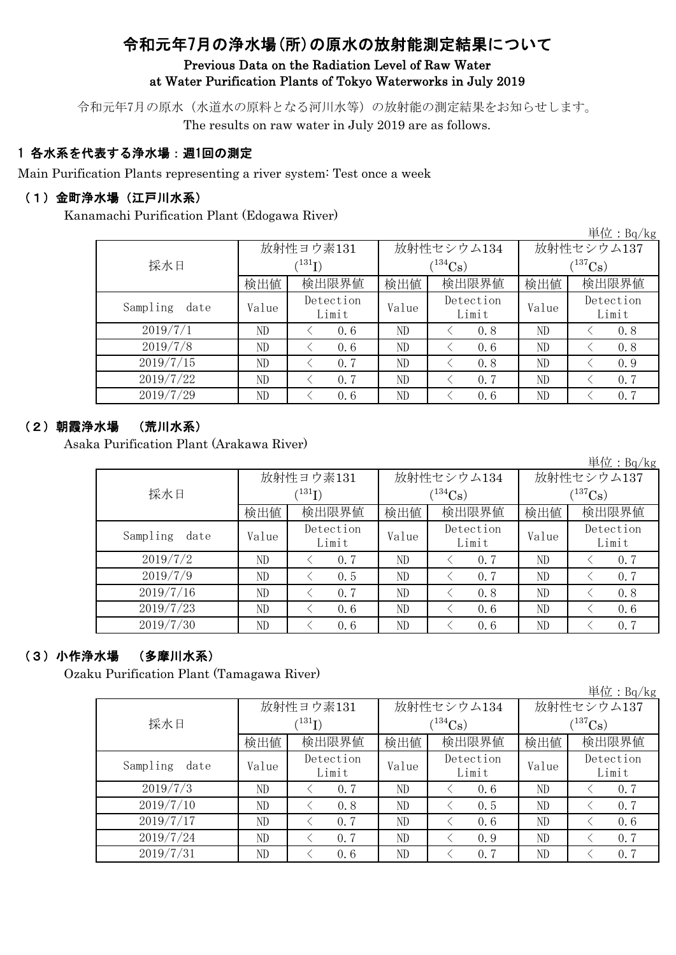# 令和元年7月の浄水場(所)の原水の放射能測定結果について

#### Previous Data on the Radiation Level of Raw Water at Water Purification Plants of Tokyo Waterworks in July 2019

令和元年7月の原水(水道水の原料となる河川水等)の放射能の測定結果をお知らせします。 The results on raw water in July 2019 are as follows.

### 1 各水系を代表する浄水場:週1回の測定

Main Purification Plants representing a river system: Test once a week

### (1)金町浄水場(江戸川水系)

Kanamachi Purification Plant (Edogawa River)

単位:Bq/kg

|                  |                      | 放射性ヨウ素131          |       | 放射性セシウム134         | 放射性セシウム137  |                    |  |
|------------------|----------------------|--------------------|-------|--------------------|-------------|--------------------|--|
| 採水日              | $(^{131}\mathrm{I})$ |                    |       | $(134)$ Cs         | $(137)$ Cs) |                    |  |
|                  | 検出値                  | 検出限界値              | 検出値   | 検出限界値              | 検出値         | 検出限界値              |  |
| Sampling<br>date | Value                | Detection<br>Limit | Value | Detection<br>Limit | Value       | Detection<br>Limit |  |
| 2019/7/1         | ND                   | 0, 6               | ND    | 0.8                | ND          | 0.8                |  |
| 2019/7/8         | ND                   | 0, 6               | ND    | 0.6                | ND          | 0.8                |  |
| 2019/7/15        | ND                   | 0, 7               | ND    | 0.8                | ND          | 0.9                |  |
| 2019/7/22        | ND                   | 0, 7               | ND    | 0, 7               | ND          | 0, 7               |  |
| 2019/7/29        | ND                   | 0.6                | ND    | 0.6                | ND          | 0, 7               |  |

### (2)朝霞浄水場 (荒川水系)

Asaka Purification Plant (Arakawa River)

単位:Bq/kg

|                  |                      | 放射性ヨウ素131          |       | 放射性セシウム134          | 放射性セシウム137   |                    |  |  |
|------------------|----------------------|--------------------|-------|---------------------|--------------|--------------------|--|--|
| 採水日              | $(^{131}\mathrm{I})$ |                    |       | $(134}\mathrm{Cs})$ | $(^{137}Cs)$ |                    |  |  |
|                  | 検出値                  | 検出限界値              | 検出値   | 検出限界値               | 検出値          | 検出限界値              |  |  |
| Sampling<br>date | Value                | Detection<br>Limit | Value | Detection<br>Limit  | Value        | Detection<br>Limit |  |  |
| 2019/7/2         | ND                   | 0.7                | ND    | 0, 7                | ND           | 0, 7               |  |  |
| 2019/7/9         | ND                   | 0.5                | ND    | 0.7                 | ND           | 0.7                |  |  |
| 2019/7/16        | ND                   | 0, 7               | ND    | 0.8                 | ND           | 0, 8               |  |  |
| 2019/7/23        | ND                   | 0.6                | ND    | 0.6                 | ND           | 0, 6               |  |  |
| 2019/7/30        | ND                   | 0, 6               | ND    | 0.6                 | ND           | 0, 7               |  |  |

## (3)小作浄水場 (多摩川水系)

Ozaku Purification Plant (Tamagawa River)

単位:Bq/kg

|                  |       | 放射性ヨウ素131          |       | 放射性セシウム134         | 放射性セシウム137  |                    |  |
|------------------|-------|--------------------|-------|--------------------|-------------|--------------------|--|
| 採水日              |       | (131)              |       | $(134)$ Cs)        | $(137)$ Cs) |                    |  |
|                  | 検出値   | 検出限界値              | 検出値   | 検出限界値              | 検出値         | 検出限界値              |  |
| Sampling<br>date | Value | Detection<br>Limit | Value | Detection<br>Limit | Value       | Detection<br>Limit |  |
| 2019/7/3         | ND    | 0.7                | ND    | 0.6                | ND          | 0.7                |  |
| 2019/7/10        | ND    | 0.8                | ND    | 0.5                | ND          | 0.7                |  |
| 2019/7/17        | ND    | 0, 7               | ND    | 0.6                | ND          | 0, 6               |  |
| 2019/7/24        | ND    | 0, 7               | ND    | 0.9                | ND          | 0.7                |  |
| 2019/7/31        | ND    | 0, 6               | ND    | 0, 7               | ND          | 0, 7               |  |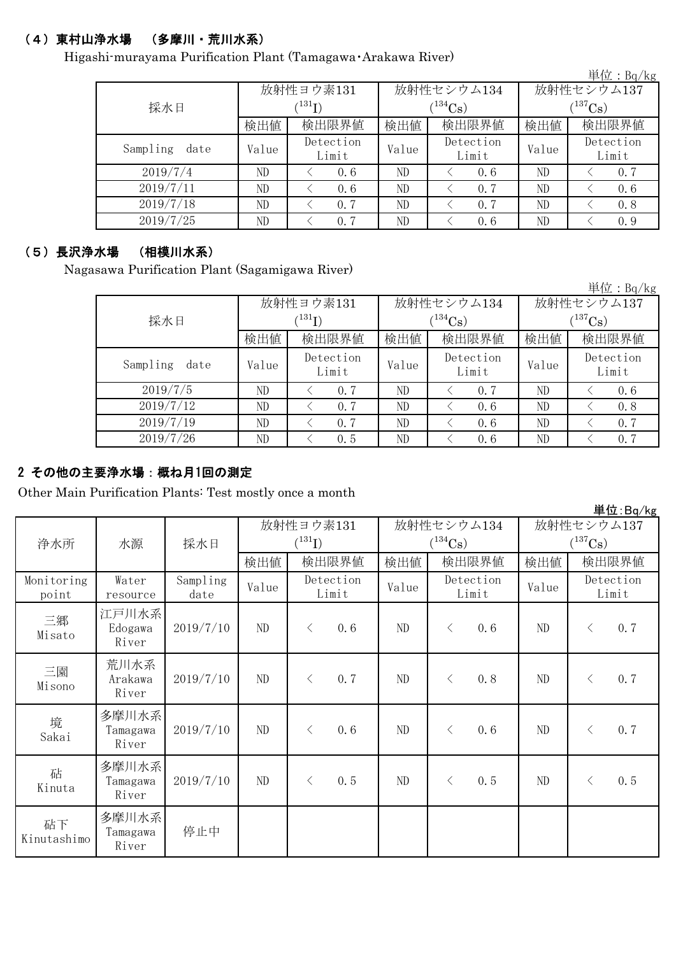### (4)東村山浄水場 (多摩川・荒川水系)

Higashi-murayama Purification Plant (Tamagawa・Arakawa River)

|                  |       |                            |       |                    |                       | 単位: Bq/kg          |  |  |
|------------------|-------|----------------------------|-------|--------------------|-----------------------|--------------------|--|--|
|                  |       | 放射性ヨウ素131                  |       | 放射性セシウム134         | 放射性セシウム137            |                    |  |  |
| 採水日              |       | $^{\prime131} \mathrm{I})$ |       | $134C_8$ )         | $(^{137}\mathrm{Cs})$ |                    |  |  |
|                  | 検出値   | 検出限界値                      | 検出値   | 検出限界値              | 検出値                   | 検出限界値              |  |  |
| Sampling<br>date | Value | Detection<br>Limit         | Value | Detection<br>Limit | Value                 | Detection<br>Limit |  |  |
| 2019/7/4         | ND    | 0.6                        | ND    | 0.6                | ND                    | 0, 7               |  |  |
| 2019/7/11        | ND    | 0.6                        | ND    | 0, 7               | ND                    | 0, 6               |  |  |
| 2019/7/18        | ND    | 0, 7                       | ND    | 0, 7               | ND                    | 0.8                |  |  |
| 2019/7/25        | ND    | 0.7                        | ND    | 0.6                | ND                    | 0.9                |  |  |

#### (5)長沢浄水場 (相模川水系)

Nagasawa Purification Plant (Sagamigawa River)

|                  |       |                    |       |                    |              | 里 $\overline{\mathfrak{u}}$ : Bq/kg |  |  |
|------------------|-------|--------------------|-------|--------------------|--------------|-------------------------------------|--|--|
|                  |       | 放射性ヨウ素131          |       | 放射性セシウム134         | 放射性セシウム137   |                                     |  |  |
| 採水日              | (131) |                    |       | $(134)$ Cs)        | $(^{137}Cs)$ |                                     |  |  |
|                  | 検出値   | 検出限界値<br>検出値       |       | 検出限界値              | 検出値          | 検出限界値                               |  |  |
| Sampling<br>date | Value | Detection<br>Limit | Value | Detection<br>Limit | Value        | Detection<br>Limit                  |  |  |
| 2019/7/5         | ND    | 0.7                | ND    | 0.7                | ND           | 0, 6                                |  |  |
| 2019/7/12        | ND    | 0.7                | ND    | 0.6                | ND           | 0.8                                 |  |  |
| 2019/7/19        | ND    | 0.7                | ND    | 0.6                | ND           | 0, 7                                |  |  |
| 2019/7/26        | ND    | 0.5                | ND    | 0.6                | ND           | 0.7                                 |  |  |

### 2 その他の主要浄水場:概ね月1回の測定

Other Main Purification Plants: Test mostly once a month

|                     |                            |                  |           |           |                    |                       |                             |       |              |           | 早11L:Bq/kg         |
|---------------------|----------------------------|------------------|-----------|-----------|--------------------|-----------------------|-----------------------------|-------|--------------|-----------|--------------------|
|                     |                            |                  | 放射性ヨウ素131 |           |                    | 放射性セシウム134            |                             |       | 放射性セシウム137   |           |                    |
| 浄水所                 | 水源                         | 採水日              |           | (131)     |                    | $(^{134}\mathrm{Cs})$ |                             |       | $(^{137}Cs)$ |           |                    |
|                     |                            |                  | 検出値       |           | 検出限界値              | 検出値                   |                             | 検出限界値 | 検出値          |           | 検出限界値              |
| Monitoring<br>point | Water<br>resource          | Sampling<br>date | Value     |           | Detection<br>Limit |                       | Detection<br>Value<br>Limit |       | Value        |           | Detection<br>Limit |
| 三郷<br>Misato        | 江戸川水系<br>Edogawa<br>River  | 2019/7/10        | ND        | $\langle$ | 0.6                | ND                    | $\lt$                       | 0.6   | ND           | $\langle$ | 0.7                |
| 三園<br>Misono        | 荒川水系<br>Arakawa<br>River   | 2019/7/10        | ND        | $\langle$ | 0.7                | ND                    | $\lt$                       | 0.8   | ND           | $\langle$ | 0.7                |
| 境<br>Sakai          | 多摩川水系<br>Tamagawa<br>River | 2019/7/10        | ND        | $\lt$     | 0.6                | ND                    | $\lt$                       | 0.6   | ND           | $\langle$ | 0.7                |
| 砧<br>Kinuta         | 多摩川水系<br>Tamagawa<br>River | 2019/7/10        | ND        | $\lt$     | 0.5                | ND                    | $\lt$                       | 0.5   | ND           | $\langle$ | 0.5                |
| 砧下<br>Kinutashimo   | 多摩川水系<br>Tamagawa<br>River | 停止中              |           |           |                    |                       |                             |       |              |           |                    |

 $H/H$ : D<sub>a</sub>/k

 $\mathcal{W}$ : B<sub>q</sub>/kg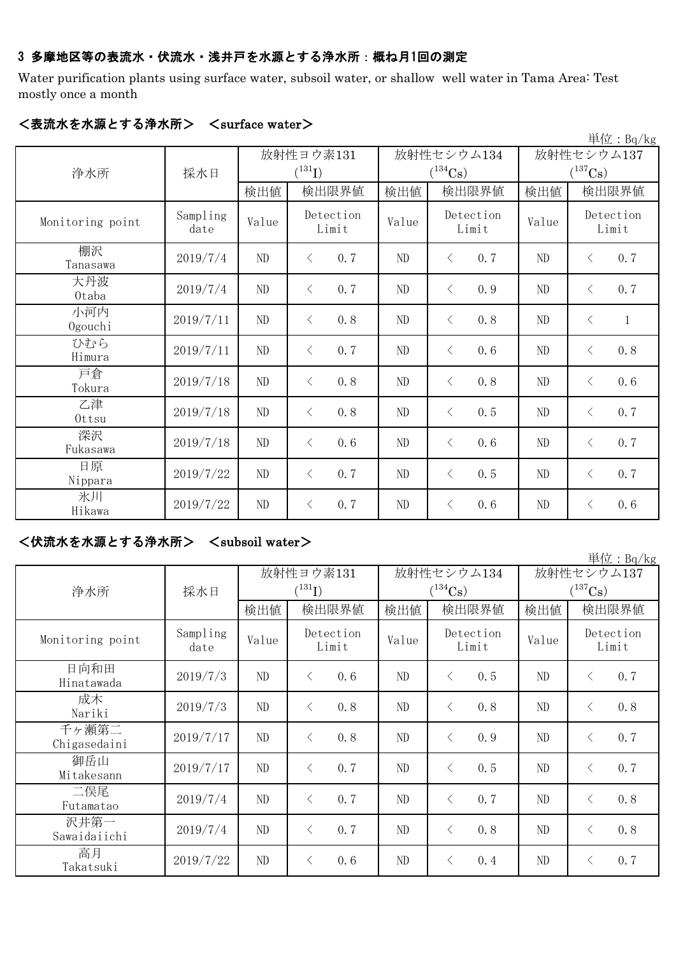### 3 多摩地区等の表流水・伏流水・浅井戸を水源とする浄水所:概ね月1回の測定

Water purification plants using surface water, subsoil water, or shallow well water in Tama Area: Test mostly once a month

|                  |                  |           |                    |     |            |                    |       |            |                       | 単位: Bq/kg    |  |
|------------------|------------------|-----------|--------------------|-----|------------|--------------------|-------|------------|-----------------------|--------------|--|
|                  |                  | 放射性ヨウ素131 |                    |     | 放射性セシウム134 |                    |       | 放射性セシウム137 |                       |              |  |
| 浄水所              | 採水日              |           | $(^{131}I)$        |     |            | $(^{134}Cs)$       |       |            | $(^{137}\mathrm{Cs})$ |              |  |
|                  |                  | 検出値       | 検出限界値              |     | 検出値        |                    | 検出限界値 | 検出値        |                       | 検出限界値        |  |
| Monitoring point | Sampling<br>date | Value     | Detection<br>Limit |     | Value      | Detection<br>Limit |       | Value      | Detection<br>Limit    |              |  |
| 棚沢<br>Tanasawa   | 2019/7/4         | ND        | $\lt$              | 0.7 | $\rm ND$   | $\lt$              | 0.7   | ND         | $\lt$                 | 0.7          |  |
| 大丹波<br>Otaba     | 2019/7/4         | ND        | $\lt$              | 0.7 | ND         | $\langle$          | 0.9   | ND         | $\langle$             | 0.7          |  |
| 小河内<br>Ogouchi   | 2019/7/11        | ND        | $\lt$              | 0.8 | ND         | $\langle$          | 0.8   | ND         | $\langle$             | $\mathbf{1}$ |  |
| ひむら<br>Himura    | 2019/7/11        | ND        | $\lt$              | 0.7 | $\rm ND$   | $\lt$              | 0.6   | ND         | $\langle$             | 0.8          |  |
| 戸倉<br>Tokura     | 2019/7/18        | ND        | $\lt$              | 0.8 | $\rm ND$   | $\langle$          | 0.8   | ND         | $\lt$                 | 0.6          |  |
| 乙津<br>Ottsu      | 2019/7/18        | ND        | $\langle$          | 0.8 | ND         | $\lt$              | 0.5   | ND         | $\langle$             | 0.7          |  |
| 深沢<br>Fukasawa   | 2019/7/18        | ND        | $\langle$          | 0.6 | ND         | $\lt$              | 0.6   | ND         | $\langle$             | 0.7          |  |
| 日原<br>Nippara    | 2019/7/22        | ND        | $\lt$              | 0.7 | ND         | $\lt$              | 0.5   | ND         | $\langle$             | 0.7          |  |
| 氷川<br>Hikawa     | 2019/7/22        | ND        | $\langle$          | 0.7 | $\rm ND$   | $\lt$              | 0.6   | ND         | $\lt$                 | 0.6          |  |

#### <表流水を水源とする浄水所> <surface water>

<伏流水を水源とする浄水所> <subsoil water>

単位:Bq/kg 検出値 | 検出限界値 | 検出値 | 検出値 | 検出値 Sampling date Value  $V$ <sup>Detection</sup> Value  $V$  $2019/7/3$  ND < 0.6 ND < 0.5 ND < 0.7  $2019/7/3$  ND  $\leq 0.8$  ND  $\leq 0.8$  ND  $\leq 0.8$ 2019/7/17 ND  $\leq 0.8$  ND  $\leq 0.9$  ND  $\leq 0.7$ 2019/7/17 ND  $\left\{ \begin{array}{ccc} 0.7 & N_{\text{D}} \\ 0.7 & N_{\text{D}} \end{array} \right\}$   $\left\{ \begin{array}{ccc} 0.5 & N_{\text{D}} \\ N_{\text{D}} \end{array} \right\}$   $\left\{ \begin{array}{ccc} 0.7 & N_{\text{D}} \\ N_{\text{D}} \end{array} \right\}$   $\left\{ \begin{array}{ccc} 0.7 & N_{\text{D}} \\ N_{\text{D}} \end{array} \right\}$  $2019/7/4$  ND  $\leq 0.7$  ND  $\leq 0.7$  ND  $\leq 0.8$  $2019/7/4$  ND  $\leq 0.7$  ND  $\leq 0.8$  ND  $\leq 0.8$ 2019/7/22 ND < 0.6 ND < 0.4 ND < 0.7 高月 Takatsuki 千ヶ瀬第二 Chigasedaini 御岳山 Mitakesann 放射性ヨウ素131  $(^{131}I)$ 沢井第一 Sawaidaiichi 放射性セシウム137  $(^{137}Cs)$ 放射性セシウム134  $(^{134}Cs)$ Detection Limit 検出限界値 |検出値 |検出限界値 Monitoring point Detection Limit Detection Limit 浄水所 | 採水日 二俣尾 Futamatao 日向和田 Hinatawada 成木 Nariki